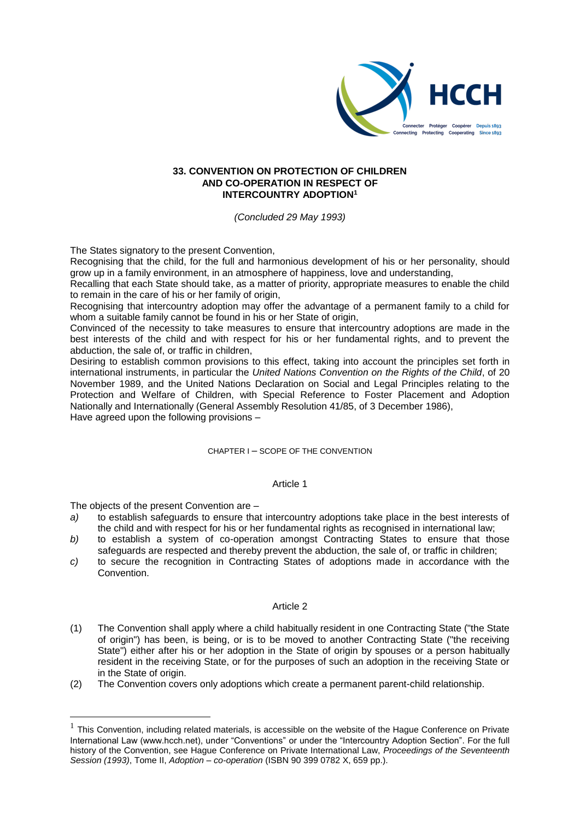

# **33. CONVENTION ON PROTECTION OF CHILDREN AND CO-OPERATION IN RESPECT OF INTERCOUNTRY ADOPTION<sup>1</sup>**

*(Concluded 29 May 1993)*

The States signatory to the present Convention,

Recognising that the child, for the full and harmonious development of his or her personality, should grow up in a family environment, in an atmosphere of happiness, love and understanding,

Recalling that each State should take, as a matter of priority, appropriate measures to enable the child to remain in the care of his or her family of origin,

Recognising that intercountry adoption may offer the advantage of a permanent family to a child for whom a suitable family cannot be found in his or her State of origin.

Convinced of the necessity to take measures to ensure that intercountry adoptions are made in the best interests of the child and with respect for his or her fundamental rights, and to prevent the abduction, the sale of, or traffic in children,

Desiring to establish common provisions to this effect, taking into account the principles set forth in international instruments, in particular the *United Nations Convention on the Rights of the Child*, of 20 November 1989, and the United Nations Declaration on Social and Legal Principles relating to the Protection and Welfare of Children, with Special Reference to Foster Placement and Adoption Nationally and Internationally (General Assembly Resolution 41/85, of 3 December 1986), Have agreed upon the following provisions –

#### CHAPTER I – SCOPE OF THE CONVENTION

#### Article 1

The objects of the present Convention are –

- *a)* to establish safeguards to ensure that intercountry adoptions take place in the best interests of the child and with respect for his or her fundamental rights as recognised in international law;
- *b)* to establish a system of co-operation amongst Contracting States to ensure that those safeguards are respected and thereby prevent the abduction, the sale of, or traffic in children;
- *c)* to secure the recognition in Contracting States of adoptions made in accordance with the **Convention**

- (1) The Convention shall apply where a child habitually resident in one Contracting State ("the State of origin") has been, is being, or is to be moved to another Contracting State ("the receiving State") either after his or her adoption in the State of origin by spouses or a person habitually resident in the receiving State, or for the purposes of such an adoption in the receiving State or in the State of origin.
- (2) The Convention covers only adoptions which create a permanent parent-child relationship.

 $<sup>1</sup>$  This Convention, including related materials, is accessible on the website of the Hague Conference on Private</sup> International Law (www.hcch.net), under "Conventions" or under the "Intercountry Adoption Section". For the full history of the Convention, see Hague Conference on Private International Law, *Proceedings of the Seventeenth Session (1993)*, Tome II, *Adoption – co-operation* (ISBN 90 399 0782 X, 659 pp.).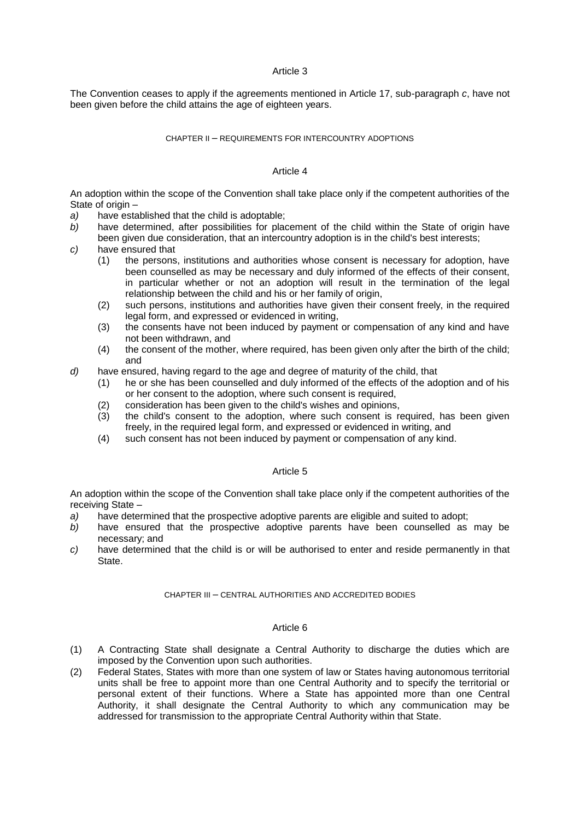The Convention ceases to apply if the agreements mentioned in Article 17, sub-paragraph *c*, have not been given before the child attains the age of eighteen years.

## CHAPTER II – REQUIREMENTS FOR INTERCOUNTRY ADOPTIONS

# Article 4

An adoption within the scope of the Convention shall take place only if the competent authorities of the State of origin –

- *a)* have established that the child is adoptable;
- *b)* have determined, after possibilities for placement of the child within the State of origin have been given due consideration, that an intercountry adoption is in the child's best interests;
- *c)* have ensured that
	- (1) the persons, institutions and authorities whose consent is necessary for adoption, have been counselled as may be necessary and duly informed of the effects of their consent, in particular whether or not an adoption will result in the termination of the legal relationship between the child and his or her family of origin,
	- (2) such persons, institutions and authorities have given their consent freely, in the required legal form, and expressed or evidenced in writing,
	- (3) the consents have not been induced by payment or compensation of any kind and have not been withdrawn, and
	- (4) the consent of the mother, where required, has been given only after the birth of the child; and
- *d)* have ensured, having regard to the age and degree of maturity of the child, that
	- (1) he or she has been counselled and duly informed of the effects of the adoption and of his or her consent to the adoption, where such consent is required,
	- (2) consideration has been given to the child's wishes and opinions,
	- (3) the child's consent to the adoption, where such consent is required, has been given freely, in the required legal form, and expressed or evidenced in writing, and
	- (4) such consent has not been induced by payment or compensation of any kind.

## Article 5

An adoption within the scope of the Convention shall take place only if the competent authorities of the receiving State –

- *a)* have determined that the prospective adoptive parents are eligible and suited to adopt;
- *b)* have ensured that the prospective adoptive parents have been counselled as may be necessary; and
- *c)* have determined that the child is or will be authorised to enter and reside permanently in that State.

## CHAPTER III – CENTRAL AUTHORITIES AND ACCREDITED BODIES

- (1) A Contracting State shall designate a Central Authority to discharge the duties which are imposed by the Convention upon such authorities.
- (2) Federal States, States with more than one system of law or States having autonomous territorial units shall be free to appoint more than one Central Authority and to specify the territorial or personal extent of their functions. Where a State has appointed more than one Central Authority, it shall designate the Central Authority to which any communication may be addressed for transmission to the appropriate Central Authority within that State.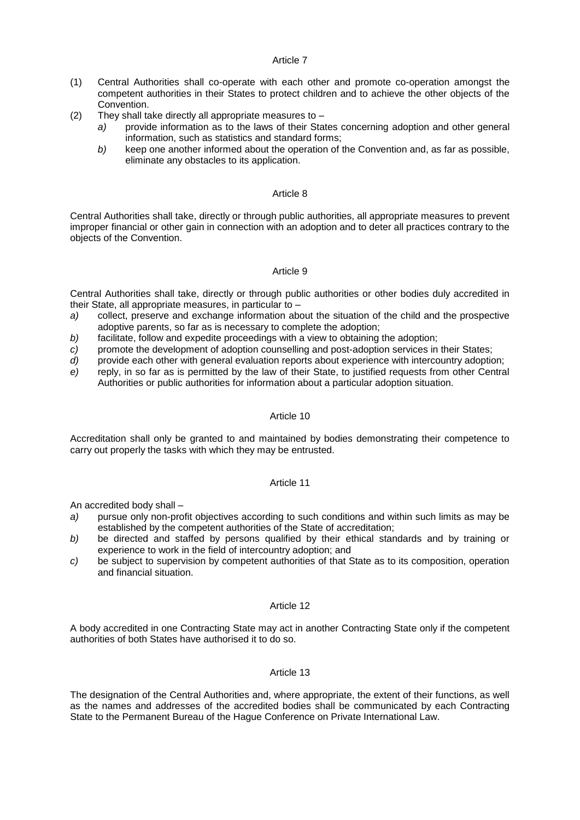- (1) Central Authorities shall co-operate with each other and promote co-operation amongst the competent authorities in their States to protect children and to achieve the other objects of the Convention.
- (2) They shall take directly all appropriate measures to
	- *a)* provide information as to the laws of their States concerning adoption and other general information, such as statistics and standard forms;
	- *b)* keep one another informed about the operation of the Convention and, as far as possible, eliminate any obstacles to its application.

### Article 8

Central Authorities shall take, directly or through public authorities, all appropriate measures to prevent improper financial or other gain in connection with an adoption and to deter all practices contrary to the objects of the Convention.

## Article 9

Central Authorities shall take, directly or through public authorities or other bodies duly accredited in their State, all appropriate measures, in particular to –

- *a)* collect, preserve and exchange information about the situation of the child and the prospective adoptive parents, so far as is necessary to complete the adoption;
- *b)* facilitate, follow and expedite proceedings with a view to obtaining the adoption;
- *c)* promote the development of adoption counselling and post-adoption services in their States;
- *d)* provide each other with general evaluation reports about experience with intercountry adoption;
- *e)* reply, in so far as is permitted by the law of their State, to justified requests from other Central Authorities or public authorities for information about a particular adoption situation.

## Article 10

Accreditation shall only be granted to and maintained by bodies demonstrating their competence to carry out properly the tasks with which they may be entrusted.

## Article 11

An accredited body shall –

- *a)* pursue only non-profit objectives according to such conditions and within such limits as may be established by the competent authorities of the State of accreditation;
- *b)* be directed and staffed by persons qualified by their ethical standards and by training or experience to work in the field of intercountry adoption; and
- *c)* be subject to supervision by competent authorities of that State as to its composition, operation and financial situation.

# Article 12

A body accredited in one Contracting State may act in another Contracting State only if the competent authorities of both States have authorised it to do so.

## Article 13

The designation of the Central Authorities and, where appropriate, the extent of their functions, as well as the names and addresses of the accredited bodies shall be communicated by each Contracting State to the Permanent Bureau of the Hague Conference on Private International Law.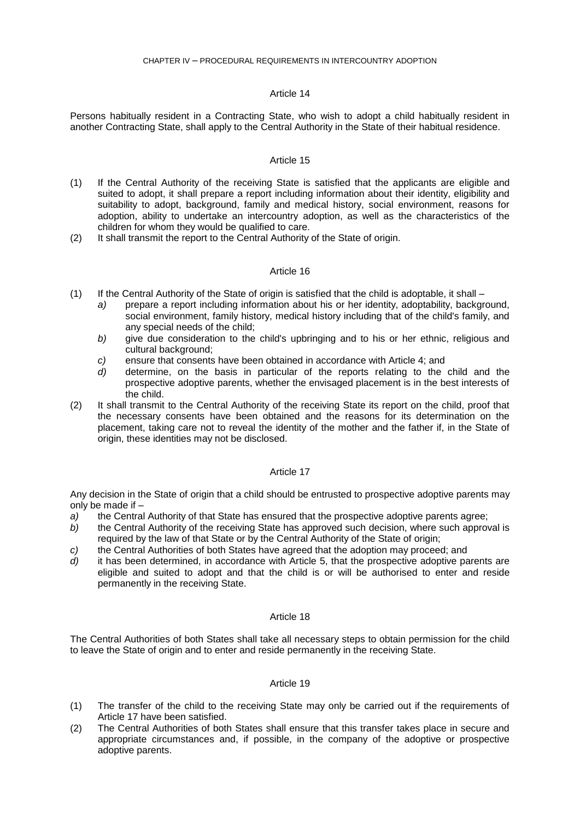Persons habitually resident in a Contracting State, who wish to adopt a child habitually resident in another Contracting State, shall apply to the Central Authority in the State of their habitual residence.

## Article 15

- (1) If the Central Authority of the receiving State is satisfied that the applicants are eligible and suited to adopt, it shall prepare a report including information about their identity, eligibility and suitability to adopt, background, family and medical history, social environment, reasons for adoption, ability to undertake an intercountry adoption, as well as the characteristics of the children for whom they would be qualified to care.
- (2) It shall transmit the report to the Central Authority of the State of origin.

# Article 16

- (1) If the Central Authority of the State of origin is satisfied that the child is adoptable, it shall
	- *a)* prepare a report including information about his or her identity, adoptability, background, social environment, family history, medical history including that of the child's family, and any special needs of the child;
	- *b)* give due consideration to the child's upbringing and to his or her ethnic, religious and cultural background;
	- *c)* ensure that consents have been obtained in accordance with Article 4; and
	- *d)* determine, on the basis in particular of the reports relating to the child and the prospective adoptive parents, whether the envisaged placement is in the best interests of the child.
- (2) It shall transmit to the Central Authority of the receiving State its report on the child, proof that the necessary consents have been obtained and the reasons for its determination on the placement, taking care not to reveal the identity of the mother and the father if, in the State of origin, these identities may not be disclosed.

## Article 17

Any decision in the State of origin that a child should be entrusted to prospective adoptive parents may only be made if –

- *a)* the Central Authority of that State has ensured that the prospective adoptive parents agree;
- *b)* the Central Authority of the receiving State has approved such decision, where such approval is required by the law of that State or by the Central Authority of the State of origin;
- *c)* the Central Authorities of both States have agreed that the adoption may proceed; and
- *d)* it has been determined, in accordance with Article 5, that the prospective adoptive parents are eligible and suited to adopt and that the child is or will be authorised to enter and reside permanently in the receiving State.

# Article 18

The Central Authorities of both States shall take all necessary steps to obtain permission for the child to leave the State of origin and to enter and reside permanently in the receiving State.

- (1) The transfer of the child to the receiving State may only be carried out if the requirements of Article 17 have been satisfied.
- (2) The Central Authorities of both States shall ensure that this transfer takes place in secure and appropriate circumstances and, if possible, in the company of the adoptive or prospective adoptive parents.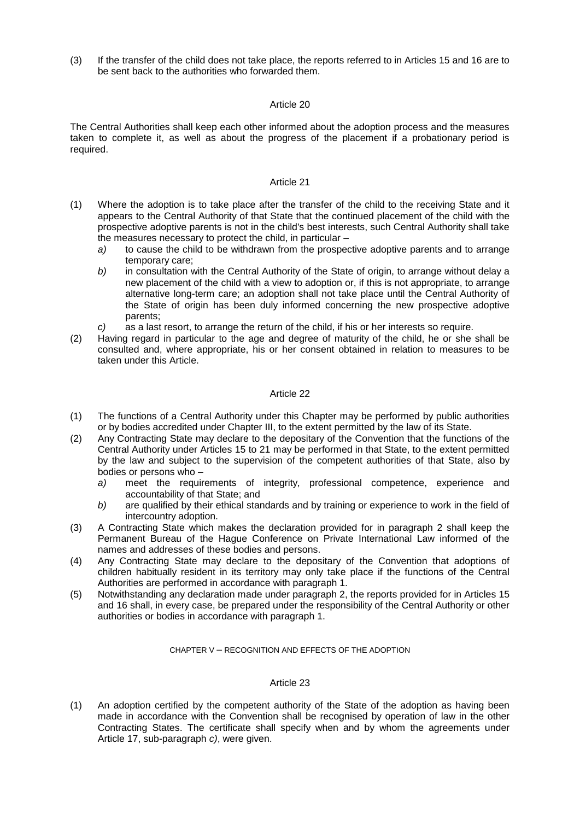(3) If the transfer of the child does not take place, the reports referred to in Articles 15 and 16 are to be sent back to the authorities who forwarded them.

# Article 20

The Central Authorities shall keep each other informed about the adoption process and the measures taken to complete it, as well as about the progress of the placement if a probationary period is required.

## Article 21

- (1) Where the adoption is to take place after the transfer of the child to the receiving State and it appears to the Central Authority of that State that the continued placement of the child with the prospective adoptive parents is not in the child's best interests, such Central Authority shall take the measures necessary to protect the child, in particular –
	- *a)* to cause the child to be withdrawn from the prospective adoptive parents and to arrange temporary care;
	- *b)* in consultation with the Central Authority of the State of origin, to arrange without delay a new placement of the child with a view to adoption or, if this is not appropriate, to arrange alternative long-term care; an adoption shall not take place until the Central Authority of the State of origin has been duly informed concerning the new prospective adoptive parents;
	- *c)* as a last resort, to arrange the return of the child, if his or her interests so require.
- (2) Having regard in particular to the age and degree of maturity of the child, he or she shall be consulted and, where appropriate, his or her consent obtained in relation to measures to be taken under this Article.

## Article 22

- (1) The functions of a Central Authority under this Chapter may be performed by public authorities or by bodies accredited under Chapter III, to the extent permitted by the law of its State.
- (2) Any Contracting State may declare to the depositary of the Convention that the functions of the Central Authority under Articles 15 to 21 may be performed in that State, to the extent permitted by the law and subject to the supervision of the competent authorities of that State, also by bodies or persons who –
	- *a)* meet the requirements of integrity, professional competence, experience and accountability of that State; and
	- *b)* are qualified by their ethical standards and by training or experience to work in the field of intercountry adoption.
- (3) A Contracting State which makes the declaration provided for in paragraph 2 shall keep the Permanent Bureau of the Hague Conference on Private International Law informed of the names and addresses of these bodies and persons.
- (4) Any Contracting State may declare to the depositary of the Convention that adoptions of children habitually resident in its territory may only take place if the functions of the Central Authorities are performed in accordance with paragraph 1.
- (5) Notwithstanding any declaration made under paragraph 2, the reports provided for in Articles 15 and 16 shall, in every case, be prepared under the responsibility of the Central Authority or other authorities or bodies in accordance with paragraph 1.

## CHAPTER V – RECOGNITION AND EFFECTS OF THE ADOPTION

# Article 23

(1) An adoption certified by the competent authority of the State of the adoption as having been made in accordance with the Convention shall be recognised by operation of law in the other Contracting States. The certificate shall specify when and by whom the agreements under Article 17, sub-paragraph *c)*, were given.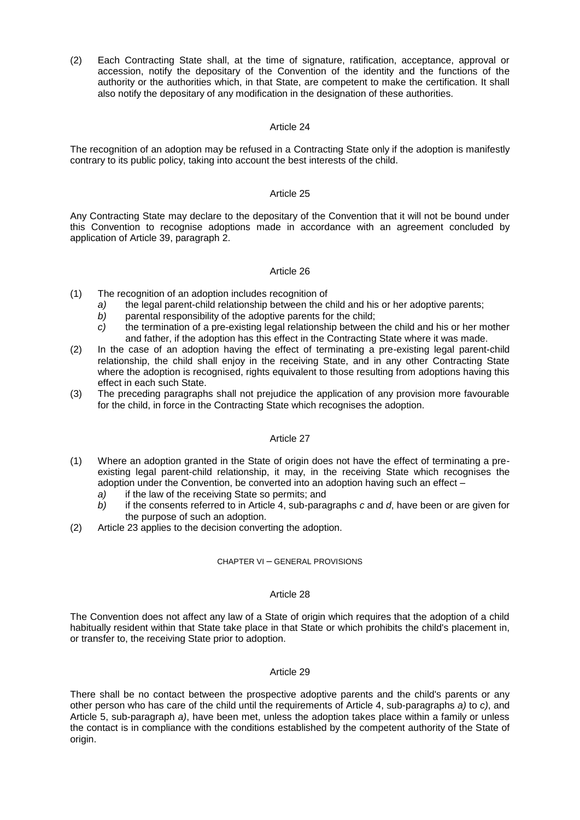(2) Each Contracting State shall, at the time of signature, ratification, acceptance, approval or accession, notify the depositary of the Convention of the identity and the functions of the authority or the authorities which, in that State, are competent to make the certification. It shall also notify the depositary of any modification in the designation of these authorities.

### Article 24

The recognition of an adoption may be refused in a Contracting State only if the adoption is manifestly contrary to its public policy, taking into account the best interests of the child.

#### Article 25

Any Contracting State may declare to the depositary of the Convention that it will not be bound under this Convention to recognise adoptions made in accordance with an agreement concluded by application of Article 39, paragraph 2.

### Article 26

- (1) The recognition of an adoption includes recognition of
	- *a)* the legal parent-child relationship between the child and his or her adoptive parents;
	- *b)* parental responsibility of the adoptive parents for the child;
	- *c)* the termination of a pre-existing legal relationship between the child and his or her mother and father, if the adoption has this effect in the Contracting State where it was made.
- (2) In the case of an adoption having the effect of terminating a pre-existing legal parent-child relationship, the child shall enjoy in the receiving State, and in any other Contracting State where the adoption is recognised, rights equivalent to those resulting from adoptions having this effect in each such State.
- (3) The preceding paragraphs shall not prejudice the application of any provision more favourable for the child, in force in the Contracting State which recognises the adoption.

## Article 27

- (1) Where an adoption granted in the State of origin does not have the effect of terminating a preexisting legal parent-child relationship, it may, in the receiving State which recognises the adoption under the Convention, be converted into an adoption having such an effect –
	- *a)* if the law of the receiving State so permits; and
	- *b)* if the consents referred to in Article 4, sub-paragraphs *c* and *d*, have been or are given for the purpose of such an adoption.
- (2) Article 23 applies to the decision converting the adoption.

## CHAPTER VI – GENERAL PROVISIONS

## Article 28

The Convention does not affect any law of a State of origin which requires that the adoption of a child habitually resident within that State take place in that State or which prohibits the child's placement in, or transfer to, the receiving State prior to adoption.

## Article 29

There shall be no contact between the prospective adoptive parents and the child's parents or any other person who has care of the child until the requirements of Article 4, sub-paragraphs *a)* to *c)*, and Article 5, sub-paragraph *a)*, have been met, unless the adoption takes place within a family or unless the contact is in compliance with the conditions established by the competent authority of the State of origin.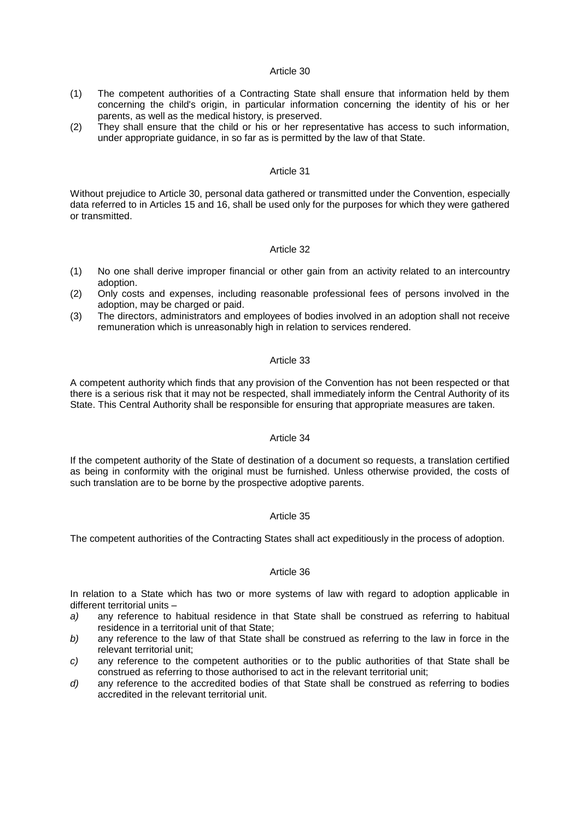- (1) The competent authorities of a Contracting State shall ensure that information held by them concerning the child's origin, in particular information concerning the identity of his or her parents, as well as the medical history, is preserved.
- (2) They shall ensure that the child or his or her representative has access to such information, under appropriate guidance, in so far as is permitted by the law of that State.

## Article 31

Without prejudice to Article 30, personal data gathered or transmitted under the Convention, especially data referred to in Articles 15 and 16, shall be used only for the purposes for which they were gathered or transmitted.

### Article 32

- (1) No one shall derive improper financial or other gain from an activity related to an intercountry adoption.
- (2) Only costs and expenses, including reasonable professional fees of persons involved in the adoption, may be charged or paid.
- (3) The directors, administrators and employees of bodies involved in an adoption shall not receive remuneration which is unreasonably high in relation to services rendered.

## Article 33

A competent authority which finds that any provision of the Convention has not been respected or that there is a serious risk that it may not be respected, shall immediately inform the Central Authority of its State. This Central Authority shall be responsible for ensuring that appropriate measures are taken.

## Article 34

If the competent authority of the State of destination of a document so requests, a translation certified as being in conformity with the original must be furnished. Unless otherwise provided, the costs of such translation are to be borne by the prospective adoptive parents.

## Article 35

The competent authorities of the Contracting States shall act expeditiously in the process of adoption.

### Article 36

In relation to a State which has two or more systems of law with regard to adoption applicable in different territorial units –

- *a)* any reference to habitual residence in that State shall be construed as referring to habitual residence in a territorial unit of that State;
- *b)* any reference to the law of that State shall be construed as referring to the law in force in the relevant territorial unit;
- *c)* any reference to the competent authorities or to the public authorities of that State shall be construed as referring to those authorised to act in the relevant territorial unit;
- *d)* any reference to the accredited bodies of that State shall be construed as referring to bodies accredited in the relevant territorial unit.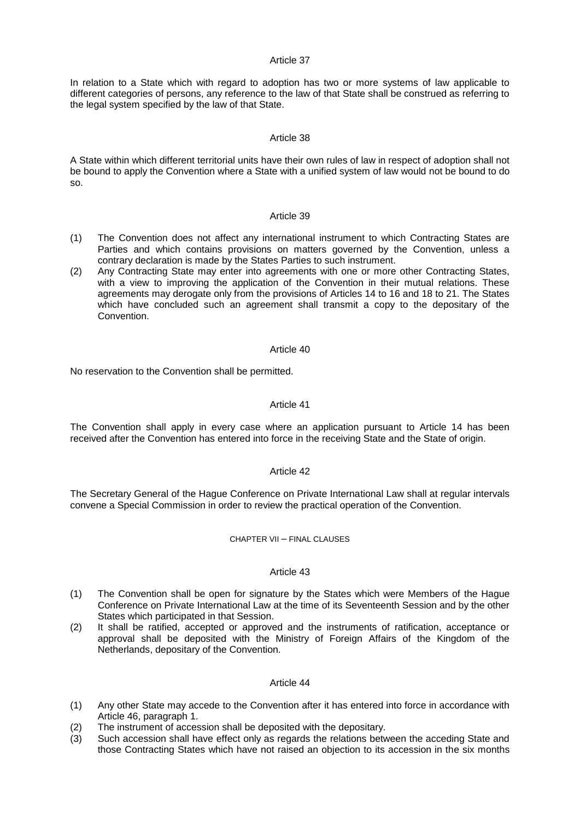In relation to a State which with regard to adoption has two or more systems of law applicable to different categories of persons, any reference to the law of that State shall be construed as referring to the legal system specified by the law of that State.

# Article 38

A State within which different territorial units have their own rules of law in respect of adoption shall not be bound to apply the Convention where a State with a unified system of law would not be bound to do so.

### Article 39

- (1) The Convention does not affect any international instrument to which Contracting States are Parties and which contains provisions on matters governed by the Convention, unless a contrary declaration is made by the States Parties to such instrument.
- (2) Any Contracting State may enter into agreements with one or more other Contracting States, with a view to improving the application of the Convention in their mutual relations. These agreements may derogate only from the provisions of Articles 14 to 16 and 18 to 21. The States which have concluded such an agreement shall transmit a copy to the depositary of the Convention.

### Article 40

No reservation to the Convention shall be permitted.

## Article 41

The Convention shall apply in every case where an application pursuant to Article 14 has been received after the Convention has entered into force in the receiving State and the State of origin.

## Article 42

The Secretary General of the Hague Conference on Private International Law shall at regular intervals convene a Special Commission in order to review the practical operation of the Convention.

### CHAPTER VII – FINAL CLAUSES

# Article 43

- (1) The Convention shall be open for signature by the States which were Members of the Hague Conference on Private International Law at the time of its Seventeenth Session and by the other States which participated in that Session.
- (2) It shall be ratified, accepted or approved and the instruments of ratification, acceptance or approval shall be deposited with the Ministry of Foreign Affairs of the Kingdom of the Netherlands, depositary of the Convention.

- (1) Any other State may accede to the Convention after it has entered into force in accordance with Article 46, paragraph 1.
- (2) The instrument of accession shall be deposited with the depositary.
- (3) Such accession shall have effect only as regards the relations between the acceding State and those Contracting States which have not raised an objection to its accession in the six months